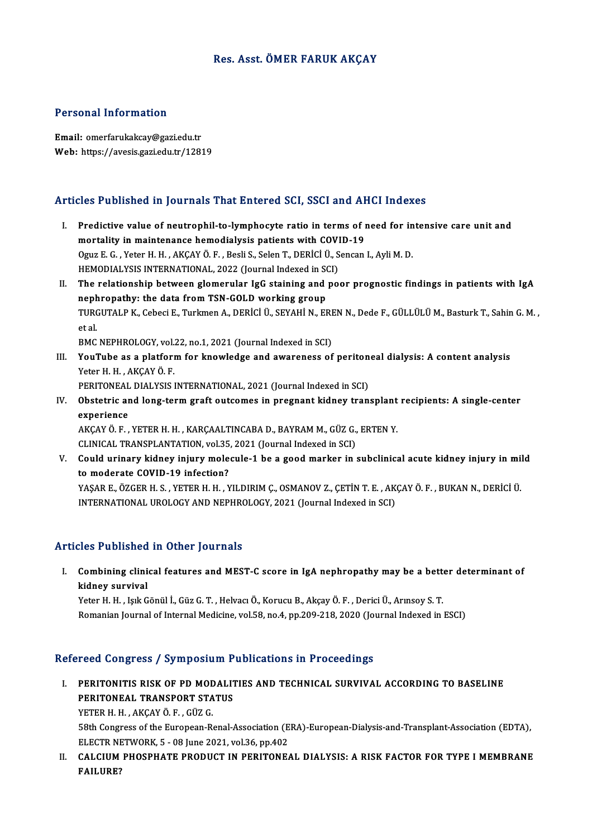## Res. Asst. ÖMER FARUK AKÇAY

### Personal Information

Email: omerfarukakcay@gazi.edu.tr Web: https://avesis.gazi.edu.tr/12819

# Articles Published in Journals That Entered SCI, SSCI and AHCI Indexes

- rticles Published in Journals That Entered SCI, SSCI and AHCI Indexes<br>I. Predictive value of neutrophil-to-lymphocyte ratio in terms of need for intensive care unit and<br>mortality in maintenance hemodialysis nations with CO mortality in maintenance hemodialysis patients with COVID-19<br>mortality in maintenance hemodialysis patients with COVID-19<br>Cour E.C., Veter H. H., AVCAV Ö. E., Peeli S. Selen T. DEPICI Ü. Sensen Predictive value of neutrophil-to-lymphocyte ratio in terms of need for in<br>mortality in maintenance hemodialysis patients with COVID-19<br>Oguz E. G. , Yeter H. H. , AKÇAY Ö. F. , Besli S., Selen T., DERİCİ Ü., Sencan I., Ayl mortality in maintenance hemodialysis patients with COVI<br>Oguz E. G. , Yeter H. H. , AKÇAY Ö. F. , Besli S., Selen T., DERİCİ Ü., S<br>HEMODIALYSIS INTERNATIONAL, 2022 (Journal Indexed in SCI)<br>The relationship hetween glomerul HEMODIALYSIS INTERNATIONAL, 2022 (Journal Indexed in SCI)
- II. The relationship between glomerular IgG staining and poor prognostic findings in patients with IgA TURGUTALP K., Cebeci E., Turkmen A., DERİCİ Ü., SEYAHİ N., EREN N., Dede F., GÜLLÜLÜ M., Basturk T., Sahin G. M. ,<br>et al. nephropathy: the data from TSN-GOLD working group TURGUTALP K., Cebeci E., Turkmen A., DERİCİ Ü., SEYAHİ N., ERI<br>et al.<br>BMC NEPHROLOGY, vol.22, no.1, 2021 (Journal Indexed in SCI)<br>YouTube as a platform for knowledge and awareness of

III. YouTube as a platform for knowledge and awareness of peritoneal dialysis: A content analysis<br>Yeter H. H., AKCAY Ö. F. BMC NEPHROLOGY, vol.<br>YouTube as a platfori<br>Yeter H. H. , AKÇAY Ö. F.<br>PERITONEAL DIALYSIS I YouTube as a platform for knowledge and awareness of periton<br>Yeter H. H., AKÇAY Ö. F.<br>PERITONEAL DIALYSIS INTERNATIONAL, 2021 (Journal Indexed in SCI)<br>Obstetnie and lang term guaft outcomes in prespent kidney tran

Yeter H. H., AKÇAY Ö. F.<br>PERITONEAL DIALYSIS INTERNATIONAL, 2021 (Journal Indexed in SCI)<br>IV. Obstetric and long-term graft outcomes in pregnant kidney transplant recipients: A single-center<br>avnoriones PERITONEAL<br>Obstetric an<br>experience Obstetric and long-term graft outcomes in pregnant kidney transplant<br>experience<br>AKÇAY Ö. F. , YETER H. H. , KARÇAALTINCABA D., BAYRAM M., GÜZ G., ERTEN Y.<br>CLINICAL TRANSPLANTATION, vel 25, 2021 (Journal Indoved in SCL)

experience<br>AKÇAY Ö. F. , YETER H. H. , KARÇAALTINCABA D., BAYRAM M., GÜZ G., ERTEN Y.<br>CLINICAL TRANSPLANTATION, vol.35, 2021 (Journal Indexed in SCI)

V. Could urinary kidney injury molecule-1 be a good marker in subclinical acute kidney injury in mild to moderate COVID-19 infection? Could urinary kidney injury molecule-1 be a good marker in subclinical acute kidney injury in mil<br>to moderate COVID-19 infection?<br>YAŞAR E., ÖZGER H. S. , YETER H. H. , YILDIRIM Ç., OSMANOV Z., ÇETİN T. E. , AKÇAY Ö. F. , B

to moderate COVID-19 infection?<br>YAŞAR E., ÖZGER H. S. , YETER H. H. , YILDIRIM Ç., OSMANOV Z., ÇETİN T. E. , AK<br>INTERNATIONAL UROLOGY AND NEPHROLOGY, 2021 (Journal Indexed in SCI) INTERNATIONAL UROLOGY AND NEPHROLOGY, 2021 (Journal Indexed in SCI)<br>Articles Published in Other Journals

rticles Published in Other Journals<br>I. Combining clinical features and MEST-C score in IgA nephropathy may be a better determinant of<br>kidney survivel kidney survival<br>kidney survival<br>Veter H. H. Jok G Combining clinical features and MEST-C score in IgA nephropathy may be a bett<br>kidney survival<br>Yeter H. H. , Işık Gönül İ., Güz G. T. , Helvacı Ö., Korucu B., Akçay Ö. F. , Derici Ü., Arınsoy S. T.<br>Pemanian Jaumal of Intern

kidney survival<br>Yeter H. H. , Işık Gönül İ., Güz G. T. , Helvacı Ö., Korucu B., Akçay Ö. F. , Derici Ü., Arınsoy S. T.<br>Romanian Journal of Internal Medicine, vol.58, no.4, pp.209-218, 2020 (Journal Indexed in ESCI)

#### Refereed Congress / Symposium Publications in Proceedings

efereed Congress / Symposium Publications in Proceedings<br>I. PERITONITIS RISK OF PD MODALITIES AND TECHNICAL SURVIVAL ACCORDING TO BASELINE<br>REPITONEAL TRANSPORT STATUS PERITONITIS RISK OF PD MODALIT<br>PERITONEAL TRANSPORT STATUS<br>VETER H H - AKGANÕ E - CÜZ C PERITONEAL TRANSPORT STATUS<br>YETER H. H. , AKÇAY Ö. F. , GÜZ G.

PERITONEAL TRANSPORT STATUS<br>YETER H. H. , AKÇAY Ö. F. , GÜZ G.<br>58th Congress of the European-Renal-Association (ERA)-European-Dialysis-and-Transplant-Association (EDTA),<br>ELECTR NETWORK 5 – 08 June 2021, vel 26, np.402 YETER H. H. , AKÇAY Ö. F. , GÜZ G.<br>58th Congress of the European-Renal-Association (E<br>ELECTR NETWORK, 5 - 08 June 2021, vol.36, pp.402<br>CALCUIM PHOSPHATE PRODUCT IN PERITONE 58th Congress of the European-Renal-Association (ERA)-European-Dialysis-and-Transplant-Association (EDTA),<br>ELECTR NETWORK, 5 - 08 June 2021, vol.36, pp.402<br>II. CALCIUM PHOSPHATE PRODUCT IN PERITONEAL DIALYSIS: A RISK FACTO

ELECTR NI<br>CALCIUM<br>FAILURE?